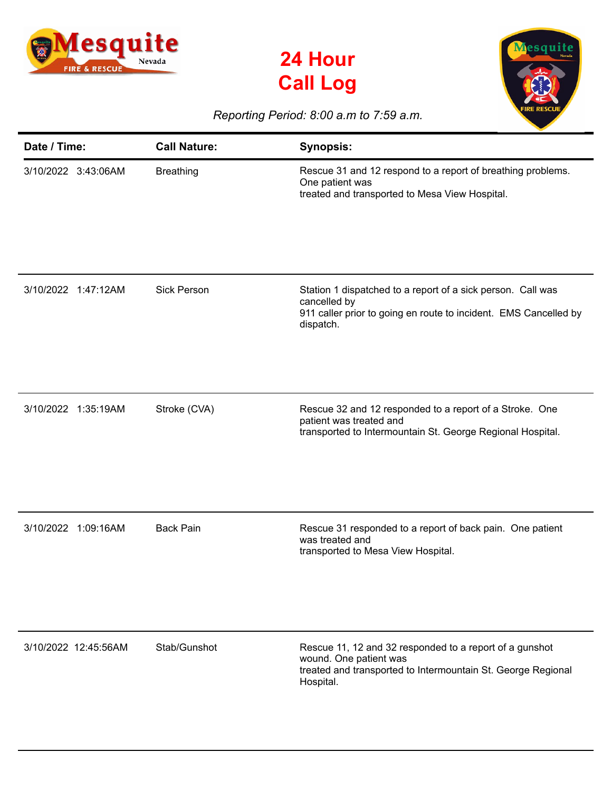





## *Reporting Period: 8:00 a.m to 7:59 a.m.*

| Date / Time:         | <b>Call Nature:</b> | <b>Synopsis:</b>                                                                                                                                               |
|----------------------|---------------------|----------------------------------------------------------------------------------------------------------------------------------------------------------------|
| 3/10/2022 3:43:06AM  | <b>Breathing</b>    | Rescue 31 and 12 respond to a report of breathing problems.<br>One patient was<br>treated and transported to Mesa View Hospital.                               |
| 3/10/2022 1:47:12AM  | <b>Sick Person</b>  | Station 1 dispatched to a report of a sick person. Call was<br>cancelled by<br>911 caller prior to going en route to incident. EMS Cancelled by<br>dispatch.   |
| 3/10/2022 1:35:19AM  | Stroke (CVA)        | Rescue 32 and 12 responded to a report of a Stroke. One<br>patient was treated and<br>transported to Intermountain St. George Regional Hospital.               |
| 3/10/2022 1:09:16AM  | <b>Back Pain</b>    | Rescue 31 responded to a report of back pain. One patient<br>was treated and<br>transported to Mesa View Hospital.                                             |
| 3/10/2022 12:45:56AM | Stab/Gunshot        | Rescue 11, 12 and 32 responded to a report of a gunshot<br>wound. One patient was<br>treated and transported to Intermountain St. George Regional<br>Hospital. |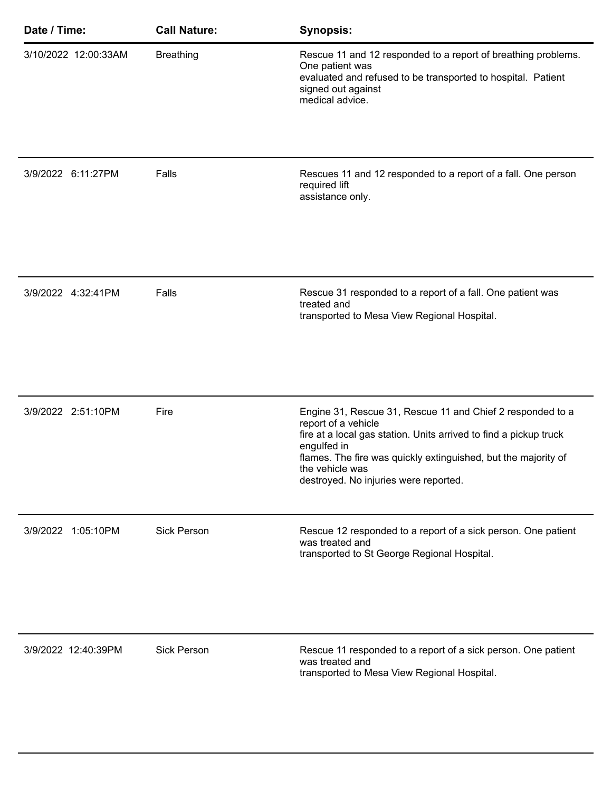| Date / Time:         | <b>Call Nature:</b> | <b>Synopsis:</b>                                                                                                                                                                                                                                                                                    |
|----------------------|---------------------|-----------------------------------------------------------------------------------------------------------------------------------------------------------------------------------------------------------------------------------------------------------------------------------------------------|
| 3/10/2022 12:00:33AM | <b>Breathing</b>    | Rescue 11 and 12 responded to a report of breathing problems.<br>One patient was<br>evaluated and refused to be transported to hospital. Patient<br>signed out against<br>medical advice.                                                                                                           |
| 3/9/2022 6:11:27PM   | Falls               | Rescues 11 and 12 responded to a report of a fall. One person<br>required lift<br>assistance only.                                                                                                                                                                                                  |
| 3/9/2022 4:32:41PM   | Falls               | Rescue 31 responded to a report of a fall. One patient was<br>treated and<br>transported to Mesa View Regional Hospital.                                                                                                                                                                            |
| 3/9/2022 2:51:10PM   | Fire                | Engine 31, Rescue 31, Rescue 11 and Chief 2 responded to a<br>report of a vehicle<br>fire at a local gas station. Units arrived to find a pickup truck<br>engulfed in<br>flames. The fire was quickly extinguished, but the majority of<br>the vehicle was<br>destroyed. No injuries were reported. |
| 3/9/2022 1:05:10PM   | <b>Sick Person</b>  | Rescue 12 responded to a report of a sick person. One patient<br>was treated and<br>transported to St George Regional Hospital.                                                                                                                                                                     |
| 3/9/2022 12:40:39PM  | <b>Sick Person</b>  | Rescue 11 responded to a report of a sick person. One patient<br>was treated and<br>transported to Mesa View Regional Hospital.                                                                                                                                                                     |